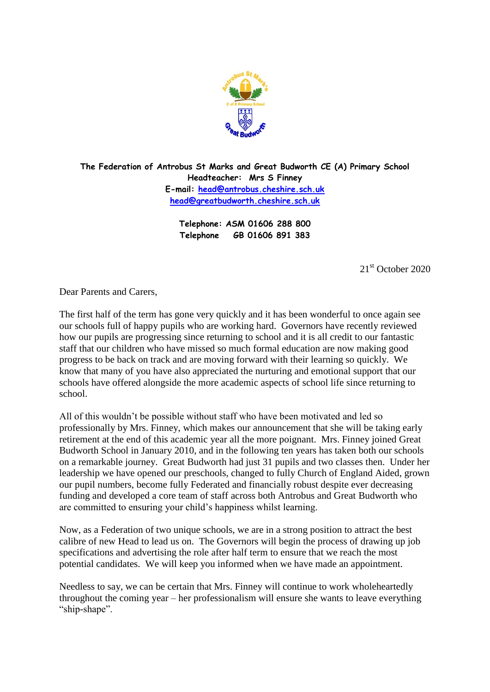

**The Federation of Antrobus St Marks and Great Budworth CE (A) Primary School Headteacher: Mrs S Finney E-mail: [head@antrobus.cheshire.sch.uk](mailto:head@antrobus-st-marks.cheshire.sch.uk) [head@greatbudworth.cheshire.sch.uk](mailto:head@greatbudworth.cheshire.sch.uk)**

> **Telephone: ASM 01606 288 800 Telephone GB 01606 891 383**

> > 21<sup>st</sup> October 2020

Dear Parents and Carers,

The first half of the term has gone very quickly and it has been wonderful to once again see our schools full of happy pupils who are working hard. Governors have recently reviewed how our pupils are progressing since returning to school and it is all credit to our fantastic staff that our children who have missed so much formal education are now making good progress to be back on track and are moving forward with their learning so quickly. We know that many of you have also appreciated the nurturing and emotional support that our schools have offered alongside the more academic aspects of school life since returning to school.

All of this wouldn't be possible without staff who have been motivated and led so professionally by Mrs. Finney, which makes our announcement that she will be taking early retirement at the end of this academic year all the more poignant. Mrs. Finney joined Great Budworth School in January 2010, and in the following ten years has taken both our schools on a remarkable journey. Great Budworth had just 31 pupils and two classes then. Under her leadership we have opened our preschools, changed to fully Church of England Aided, grown our pupil numbers, become fully Federated and financially robust despite ever decreasing funding and developed a core team of staff across both Antrobus and Great Budworth who are committed to ensuring your child's happiness whilst learning.

Now, as a Federation of two unique schools, we are in a strong position to attract the best calibre of new Head to lead us on. The Governors will begin the process of drawing up job specifications and advertising the role after half term to ensure that we reach the most potential candidates. We will keep you informed when we have made an appointment.

Needless to say, we can be certain that Mrs. Finney will continue to work wholeheartedly throughout the coming year – her professionalism will ensure she wants to leave everything "ship-shape".